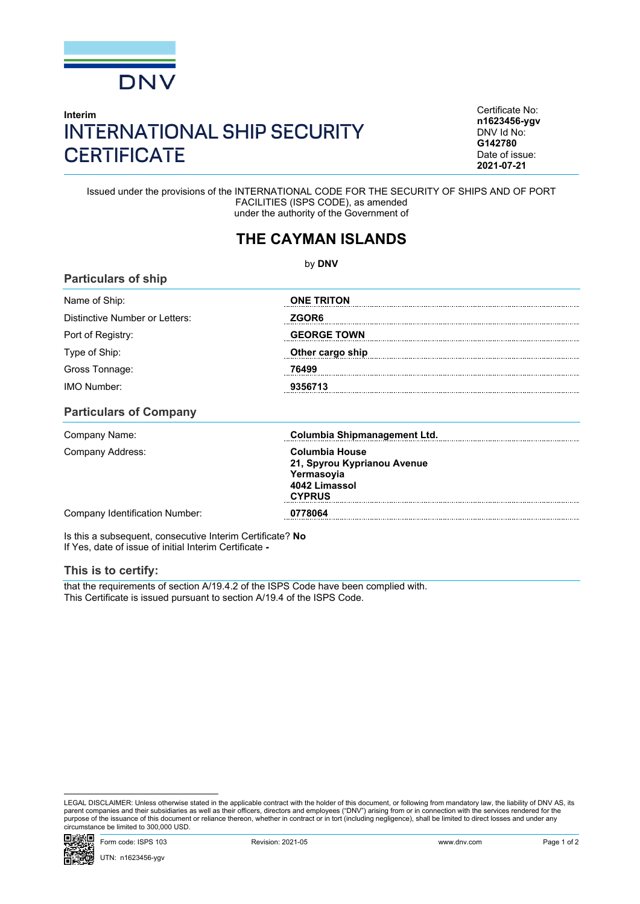

## **Interim** INTERNATIONAL SHIP SECURITY **CERTIFICATE**

Certificate No: **n1623456-ygv** DNV Id No: **G142780** Date of issue: **2021-07-21**

Issued under the provisions of the INTERNATIONAL CODE FOR THE SECURITY OF SHIPS AND OF PORT FACILITIES (ISPS CODE), as amended under the authority of the Government of

## **THE CAYMAN ISLANDS**

by **DNV Particulars of ship** Name of Ship: **ONE TRITON** Distinctive Number or Letters: *ZGOR6* Port of Registry: **GEORGE TOWN** Type of Ship: **Other cargo ship** Gross Tonnage: **76499** IMO Number: **9356713 Particulars of Company** Company Name: **Columbia Shipmanagement Ltd.** Company Address: **Columbia House 21, Spyrou Kyprianou Avenue Yermasoyia 4042 Limassol CYPRUS** Company Identification Number: **0778064**

Is this a subsequent, consecutive Interim Certificate? **No** If Yes, date of issue of initial Interim Certificate **-**

## **This is to certify:**

that the requirements of section A/19.4.2 of the ISPS Code have been complied with. This Certificate is issued pursuant to section A/19.4 of the ISPS Code.

LEGAL DISCLAIMER: Unless otherwise stated in the applicable contract with the holder of this document, or following from mandatory law, the liability of DNV AS, its parent companies and their subsidiaries as well as their officers, directors and employees ("DNV") arising from or in connection with the services rendered for the purpose of the issuance of this document or reliance thereon, whether in contract or in tort (including negligence), shall be limited to direct losses and under any circumstance be limited to 300,000 USD.